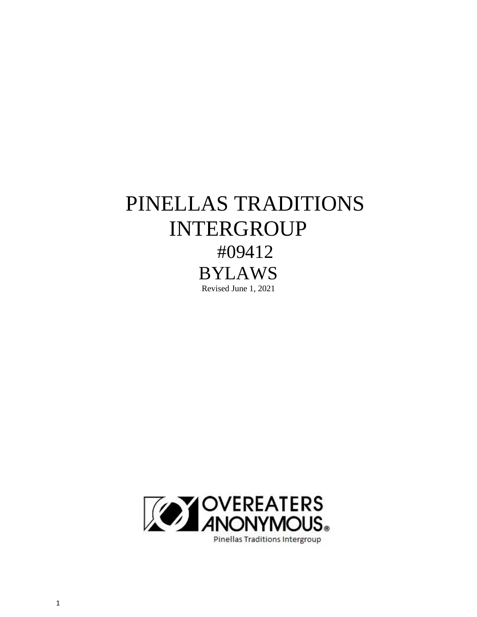# PINELLAS TRADITIONS INTERGROUP #09412 BYLAWS Revised June 1, 2021

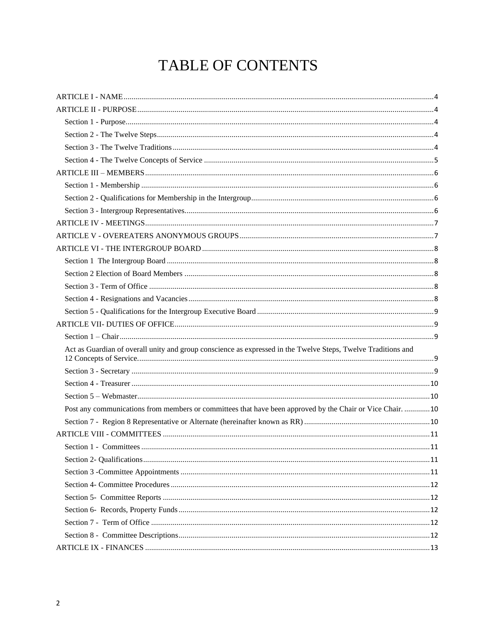# TABLE OF CONTENTS

| Act as Guardian of overall unity and group conscience as expressed in the Twelve Steps, Twelve Traditions and |  |
|---------------------------------------------------------------------------------------------------------------|--|
|                                                                                                               |  |
|                                                                                                               |  |
|                                                                                                               |  |
| Post any communications from members or committees that have been approved by the Chair or Vice Chair. 10     |  |
|                                                                                                               |  |
|                                                                                                               |  |
|                                                                                                               |  |
|                                                                                                               |  |
|                                                                                                               |  |
|                                                                                                               |  |
|                                                                                                               |  |
|                                                                                                               |  |
|                                                                                                               |  |
|                                                                                                               |  |
|                                                                                                               |  |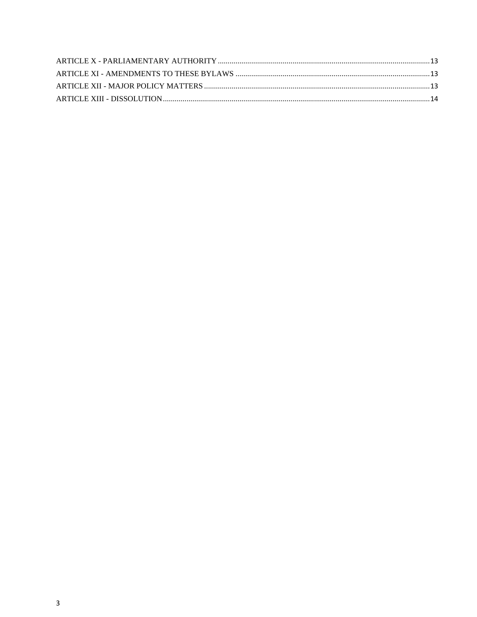<span id="page-2-0"></span>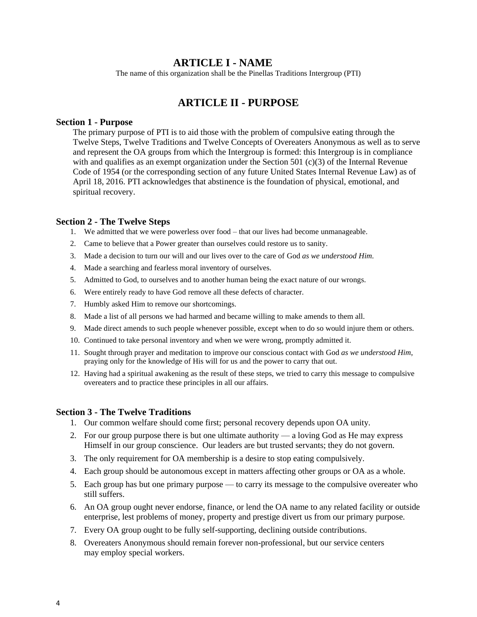# **ARTICLE I - NAME**

The name of this organization shall be the Pinellas Traditions Intergroup (PTI)

# **ARTICLE II - PURPOSE**

#### <span id="page-3-1"></span><span id="page-3-0"></span>**Section 1 - Purpose**

The primary purpose of PTI is to aid those with the problem of compulsive eating through the Twelve Steps, Twelve Traditions and Twelve Concepts of Overeaters Anonymous as well as to serve and represent the OA groups from which the Intergroup is formed: this Intergroup is in compliance with and qualifies as an exempt organization under the Section 501  $(c)(3)$  of the Internal Revenue Code of 1954 (or the corresponding section of any future United States Internal Revenue Law) as of April 18, 2016. PTI acknowledges that abstinence is the foundation of physical, emotional, and spiritual recovery.

#### <span id="page-3-2"></span>**Section 2 - The Twelve Steps**

- 1. We admitted that we were powerless over food that our lives had become unmanageable.
- 2. Came to believe that a Power greater than ourselves could restore us to sanity.
- 3. Made a decision to turn our will and our lives over to the care of God *as we understood Him*.
- 4. Made a searching and fearless moral inventory of ourselves.
- 5. Admitted to God, to ourselves and to another human being the exact nature of our wrongs.
- 6. Were entirely ready to have God remove all these defects of character.
- 7. Humbly asked Him to remove our shortcomings.
- 8. Made a list of all persons we had harmed and became willing to make amends to them all.
- 9. Made direct amends to such people whenever possible, except when to do so would injure them or others.
- 10. Continued to take personal inventory and when we were wrong, promptly admitted it.
- 11. Sought through prayer and meditation to improve our conscious contact with God *as we understood Him*, praying only for the knowledge of His will for us and the power to carry that out.
- 12. Having had a spiritual awakening as the result of these steps, we tried to carry this message to compulsive overeaters and to practice these principles in all our affairs.

#### <span id="page-3-3"></span>**Section 3 - The Twelve Traditions**

- 1. Our common welfare should come first; personal recovery depends upon OA unity.
- 2. For our group purpose there is but one ultimate authority a loving God as He may express Himself in our group conscience. Our leaders are but trusted servants; they do not govern.
- 3. The only requirement for OA membership is a desire to stop eating compulsively.
- 4. Each group should be autonomous except in matters affecting other groups or OA as a whole.
- 5. Each group has but one primary purpose to carry its message to the compulsive overeater who still suffers.
- 6. An OA group ought never endorse, finance, or lend the OA name to any related facility or outside enterprise, lest problems of money, property and prestige divert us from our primary purpose.
- 7. Every OA group ought to be fully self-supporting, declining outside contributions.
- 8. Overeaters Anonymous should remain forever non-professional, but our service centers may employ special workers.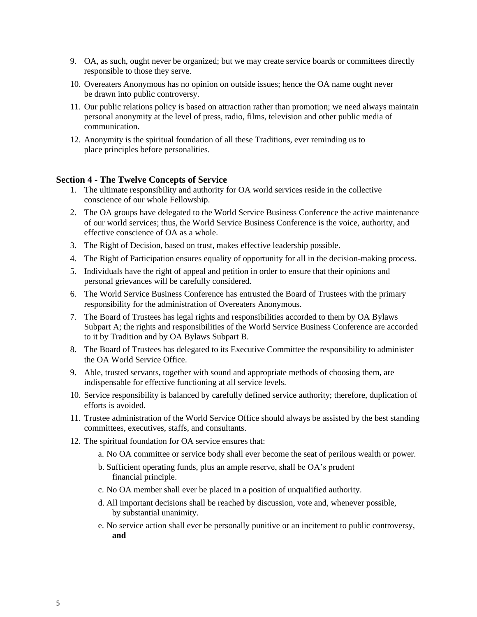- 9. OA, as such, ought never be organized; but we may create service boards or committees directly responsible to those they serve.
- 10. Overeaters Anonymous has no opinion on outside issues; hence the OA name ought never be drawn into public controversy.
- 11. Our public relations policy is based on attraction rather than promotion; we need always maintain personal anonymity at the level of press, radio, films, television and other public media of communication.
- 12. Anonymity is the spiritual foundation of all these Traditions, ever reminding us to place principles before personalities.

#### <span id="page-4-0"></span>**Section 4 - The Twelve Concepts of Service**

- 1. The ultimate responsibility and authority for OA world services reside in the collective conscience of our whole Fellowship.
- 2. The OA groups have delegated to the World Service Business Conference the active maintenance of our world services; thus, the World Service Business Conference is the voice, authority, and effective conscience of OA as a whole.
- 3. The Right of Decision, based on trust, makes effective leadership possible.
- 4. The Right of Participation ensures equality of opportunity for all in the decision-making process.
- 5. Individuals have the right of appeal and petition in order to ensure that their opinions and personal grievances will be carefully considered.
- 6. The World Service Business Conference has entrusted the Board of Trustees with the primary responsibility for the administration of Overeaters Anonymous.
- 7. The Board of Trustees has legal rights and responsibilities accorded to them by OA Bylaws Subpart A; the rights and responsibilities of the World Service Business Conference are accorded to it by Tradition and by OA Bylaws Subpart B.
- 8. The Board of Trustees has delegated to its Executive Committee the responsibility to administer the OA World Service Office.
- 9. Able, trusted servants, together with sound and appropriate methods of choosing them, are indispensable for effective functioning at all service levels.
- 10. Service responsibility is balanced by carefully defined service authority; therefore, duplication of efforts is avoided.
- 11. Trustee administration of the World Service Office should always be assisted by the best standing committees, executives, staffs, and consultants.
- 12. The spiritual foundation for OA service ensures that:
	- a. No OA committee or service body shall ever become the seat of perilous wealth or power.
	- b. Sufficient operating funds, plus an ample reserve, shall be OA's prudent financial principle.
	- c. No OA member shall ever be placed in a position of unqualified authority.
	- d. All important decisions shall be reached by discussion, vote and, whenever possible, by substantial unanimity.
	- e. No service action shall ever be personally punitive or an incitement to public controversy, **and**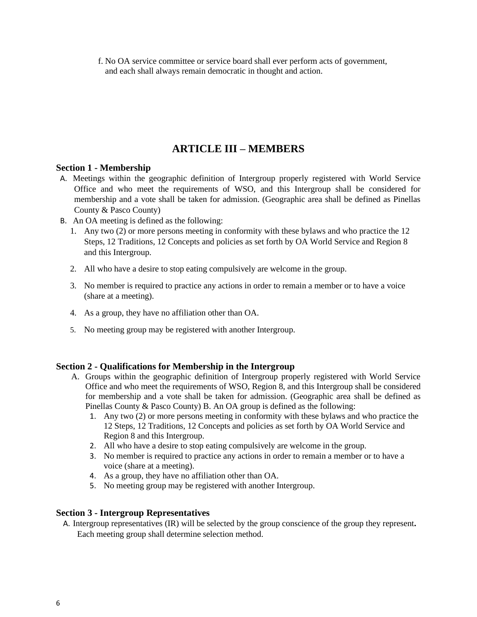f. No OA service committee or service board shall ever perform acts of government, and each shall always remain democratic in thought and action.

# **ARTICLE III – MEMBERS**

## <span id="page-5-1"></span><span id="page-5-0"></span>**Section 1 - Membership**

- A. Meetings within the geographic definition of Intergroup properly registered with World Service Office and who meet the requirements of WSO, and this Intergroup shall be considered for membership and a vote shall be taken for admission. (Geographic area shall be defined as Pinellas County & Pasco County)
- B. An OA meeting is defined as the following:
	- 1. Any two (2) or more persons meeting in conformity with these bylaws and who practice the 12 Steps, 12 Traditions, 12 Concepts and policies as set forth by OA World Service and Region 8 and this Intergroup.
	- 2. All who have a desire to stop eating compulsively are welcome in the group.
	- 3. No member is required to practice any actions in order to remain a member or to have a voice (share at a meeting).
	- 4. As a group, they have no affiliation other than OA.
	- 5. No meeting group may be registered with another Intergroup.

# <span id="page-5-2"></span>**Section 2 - Qualifications for Membership in the Intergroup**

- A. Groups within the geographic definition of Intergroup properly registered with World Service Office and who meet the requirements of WSO, Region 8, and this Intergroup shall be considered for membership and a vote shall be taken for admission. (Geographic area shall be defined as Pinellas County & Pasco County) B. An OA group is defined as the following:
	- 1. Any two (2) or more persons meeting in conformity with these bylaws and who practice the 12 Steps, 12 Traditions, 12 Concepts and policies as set forth by OA World Service and Region 8 and this Intergroup.
	- 2. All who have a desire to stop eating compulsively are welcome in the group.
	- 3. No member is required to practice any actions in order to remain a member or to have a voice (share at a meeting).
	- 4. As a group, they have no affiliation other than OA.
	- 5. No meeting group may be registered with another Intergroup.

# <span id="page-5-3"></span>**Section 3 - Intergroup Representatives**

A. Intergroup representatives (IR) will be selected by the group conscience of the group they represent**.**  Each meeting group shall determine selection method.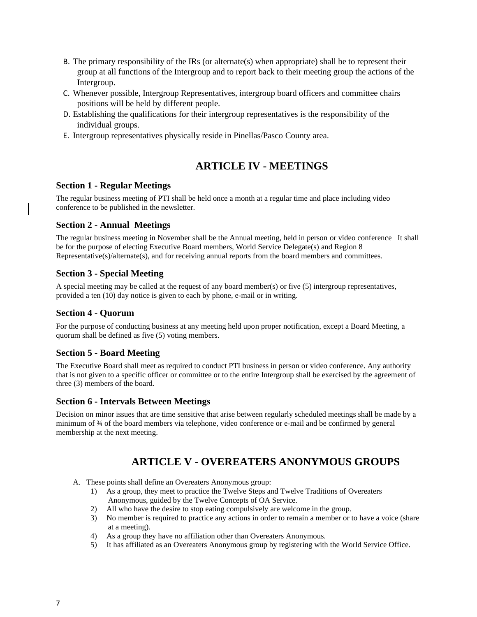- B. The primary responsibility of the IRs (or alternate(s) when appropriate) shall be to represent their group at all functions of the Intergroup and to report back to their meeting group the actions of the Intergroup.
- C. Whenever possible, Intergroup Representatives, intergroup board officers and committee chairs positions will be held by different people.
- D. Establishing the qualifications for their intergroup representatives is the responsibility of the individual groups.
- E. Intergroup representatives physically reside in Pinellas/Pasco County area.

# <span id="page-6-0"></span> **ARTICLE IV - MEETINGS**

#### **Section 1 - Regular Meetings**

The regular business meeting of PTI shall be held once a month at a regular time and place including video conference to be published in the newsletter.

# **Section 2 - Annual Meetings**

The regular business meeting in November shall be the Annual meeting, held in person or video conference It shall be for the purpose of electing Executive Board members, World Service Delegate(s) and Region 8 Representative(s)/alternate(s), and for receiving annual reports from the board members and committees.

# **Section 3 - Special Meeting**

A special meeting may be called at the request of any board member(s) or five (5) intergroup representatives, provided a ten (10) day notice is given to each by phone, e-mail or in writing.

## **Section 4 - Quorum**

For the purpose of conducting business at any meeting held upon proper notification, except a Board Meeting, a quorum shall be defined as five (5) voting members.

#### **Section 5 - Board Meeting**

The Executive Board shall meet as required to conduct PTI business in person or video conference. Any authority that is not given to a specific officer or committee or to the entire Intergroup shall be exercised by the agreement of three (3) members of the board.

#### **Section 6 - Intervals Between Meetings**

Decision on minor issues that are time sensitive that arise between regularly scheduled meetings shall be made by a minimum of ¾ of the board members via telephone, video conference or e-mail and be confirmed by general membership at the next meeting.

# <span id="page-6-1"></span> **ARTICLE V - OVEREATERS ANONYMOUS GROUPS**

- A. These points shall define an Overeaters Anonymous group:
	- 1) As a group, they meet to practice the Twelve Steps and Twelve Traditions of Overeaters Anonymous, guided by the Twelve Concepts of OA Service.
	- 2) All who have the desire to stop eating compulsively are welcome in the group.
	- 3) No member is required to practice any actions in order to remain a member or to have a voice (share at a meeting).
	- 4) As a group they have no affiliation other than Overeaters Anonymous.
	- 5) It has affiliated as an Overeaters Anonymous group by registering with the World Service Office.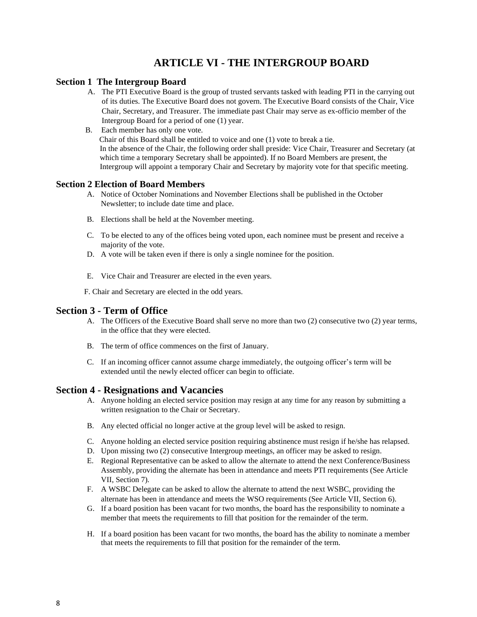# <span id="page-7-0"></span> **ARTICLE VI - THE INTERGROUP BOARD**

#### <span id="page-7-1"></span>**Section 1 The Intergroup Board**

- A. The PTI Executive Board is the group of trusted servants tasked with leading PTI in the carrying out of its duties. The Executive Board does not govern. The Executive Board consists of the Chair, Vice Chair, Secretary, and Treasurer. The immediate past Chair may serve as ex-officio member of the Intergroup Board for a period of one (1) year.
- B. Each member has only one vote. Chair of this Board shall be entitled to voice and one (1) vote to break a tie. In the absence of the Chair, the following order shall preside: Vice Chair, Treasurer and Secretary (at which time a temporary Secretary shall be appointed). If no Board Members are present, the Intergroup will appoint a temporary Chair and Secretary by majority vote for that specific meeting.

#### <span id="page-7-2"></span>**Section 2 Election of Board Members**

- A. Notice of October Nominations and November Elections shall be published in the October Newsletter; to include date time and place.
- B. Elections shall be held at the November meeting.
- C. To be elected to any of the offices being voted upon, each nominee must be present and receive a majority of the vote.
- D. A vote will be taken even if there is only a single nominee for the position.
- E. Vice Chair and Treasurer are elected in the even years.

F. Chair and Secretary are elected in the odd years.

#### <span id="page-7-3"></span>**Section 3 - Term of Office**

- A. The Officers of the Executive Board shall serve no more than two (2) consecutive two (2) year terms, in the office that they were elected.
- B. The term of office commences on the first of January.
- C. If an incoming officer cannot assume charge immediately, the outgoing officer's term will be extended until the newly elected officer can begin to officiate.

#### <span id="page-7-4"></span>**Section 4 - Resignations and Vacancies**

- A. Anyone holding an elected service position may resign at any time for any reason by submitting a written resignation to the Chair or Secretary.
- B. Any elected official no longer active at the group level will be asked to resign.
- C. Anyone holding an elected service position requiring abstinence must resign if he/she has relapsed.
- D. Upon missing two (2) consecutive Intergroup meetings, an officer may be asked to resign.
- E. Regional Representative can be asked to allow the alternate to attend the next Conference/Business Assembly, providing the alternate has been in attendance and meets PTI requirements (See Article VII, Section 7).
- F. A WSBC Delegate can be asked to allow the alternate to attend the next WSBC, providing the alternate has been in attendance and meets the WSO requirements (See Article VII, Section 6).
- G. If a board position has been vacant for two months, the board has the responsibility to nominate a member that meets the requirements to fill that position for the remainder of the term.
- H. If a board position has been vacant for two months, the board has the ability to nominate a member that meets the requirements to fill that position for the remainder of the term.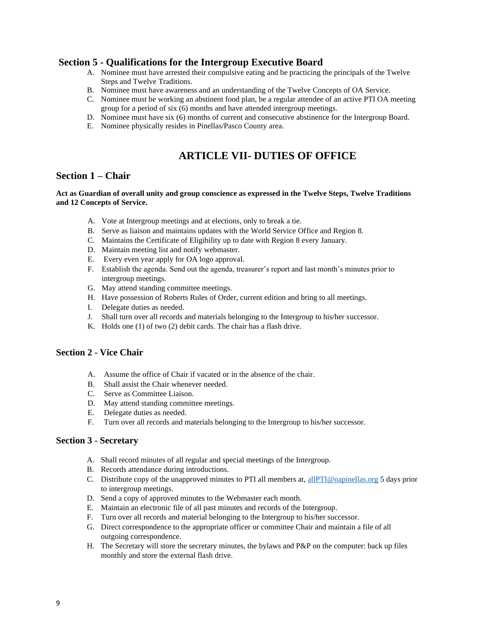# <span id="page-8-0"></span>**Section 5 - Qualifications for the Intergroup Executive Board**

- A. Nominee must have arrested their compulsive eating and be practicing the principals of the Twelve Steps and Twelve Traditions.
- B. Nominee must have awareness and an understanding of the Twelve Concepts of OA Service.
- C. Nominee must be working an abstinent food plan, be a regular attendee of an active PTI OA meeting group for a period of six (6) months and have attended intergroup meetings.
- D. Nominee must have six (6) months of current and consecutive abstinence for the Intergroup Board.
- E. Nominee physically resides in Pinellas/Pasco County area.

# <span id="page-8-1"></span> **ARTICLE VII- DUTIES OF OFFICE**

# <span id="page-8-2"></span>**Section 1 – Chair**

#### <span id="page-8-3"></span>**Act as Guardian of overall unity and group conscience as expressed in the Twelve Steps, Twelve Traditions and 12 Concepts of Service.**

- A. Vote at Intergroup meetings and at elections, only to break a tie.
- B. Serve as liaison and maintains updates with the World Service Office and Region 8.
- C. Maintains the Certificate of Eligibility up to date with Region 8 every January.
- D. Maintain meeting list and notify webmaster.
- E. Every even year apply for OA logo approval.
- F. Establish the agenda. Send out the agenda, treasurer's report and last month's minutes prior to intergroup meetings.
- G. May attend standing committee meetings.
- H. Have possession of Roberts Rules of Order, current edition and bring to all meetings.
- I. Delegate duties as needed.
- J. Shall turn over all records and materials belonging to the Intergroup to his/her successor.
- K. Holds one (1) of two (2) debit cards. The chair has a flash drive.

## **Section 2 - Vice Chair**

- A. Assume the office of Chair if vacated or in the absence of the chair.
- B. Shall assist the Chair whenever needed.
- C. Serve as Committee Liaison.
- D. May attend standing committee meetings.
- E. Delegate duties as needed.
- F. Turn over all records and materials belonging to the Intergroup to his/her successor.

#### <span id="page-8-4"></span>**Section 3 - Secretary**

- A. Shall record minutes of all regular and special meetings of the Intergroup.
- B. Records attendance during introductions.
- C. Distribute copy of the unapproved minutes to PTI all members at, [allPTI@oapinellas.org](mailto:allPTI@oapinellas.org) 5 days prior to intergroup meetings.
- D. Send a copy of approved minutes to the Webmaster each month.
- E. Maintain an electronic file of all past minutes and records of the Intergroup.
- F. Turn over all records and material belonging to the Intergroup to his/her successor.
- G. Direct correspondence to the appropriate officer or committee Chair and maintain a file of all outgoing correspondence.
- H. The Secretary will store the secretary minutes, the bylaws and P&P on the computer: back up files monthly and store the external flash drive.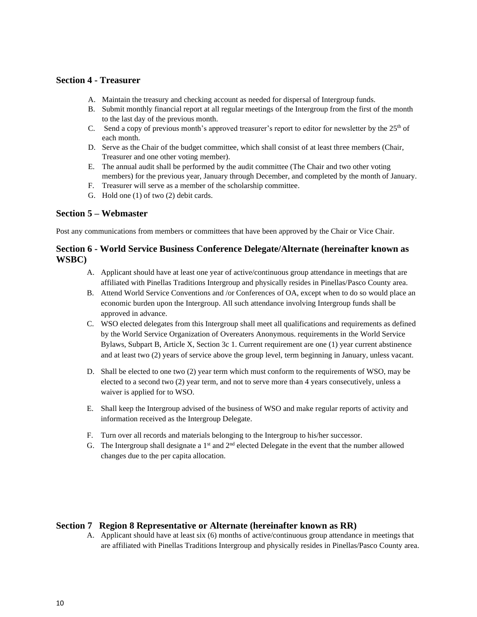#### <span id="page-9-0"></span>**Section 4 - Treasurer**

- A. Maintain the treasury and checking account as needed for dispersal of Intergroup funds.
- B. Submit monthly financial report at all regular meetings of the Intergroup from the first of the month to the last day of the previous month.
- C. Send a copy of previous month's approved treasurer's report to editor for newsletter by the 25<sup>th</sup> of each month.
- D. Serve as the Chair of the budget committee, which shall consist of at least three members (Chair, Treasurer and one other voting member).
- E. The annual audit shall be performed by the audit committee (The Chair and two other voting members) for the previous year, January through December, and completed by the month of January.
- F. Treasurer will serve as a member of the scholarship committee.
- G. Hold one (1) of two (2) debit cards.

#### <span id="page-9-1"></span>**Section 5 – Webmaster**

<span id="page-9-2"></span>Post any communications from members or committees that have been approved by the Chair or Vice Chair.

## **Section 6 - World Service Business Conference Delegate/Alternate (hereinafter known as WSBC)**

- A. Applicant should have at least one year of active/continuous group attendance in meetings that are affiliated with Pinellas Traditions Intergroup and physically resides in Pinellas/Pasco County area.
- B. Attend World Service Conventions and /or Conferences of OA, except when to do so would place an economic burden upon the Intergroup. All such attendance involving Intergroup funds shall be approved in advance.
- C. WSO elected delegates from this Intergroup shall meet all qualifications and requirements as defined by the World Service Organization of Overeaters Anonymous. requirements in the World Service Bylaws, Subpart B, Article X, Section 3c 1. Current requirement are one (1) year current abstinence and at least two (2) years of service above the group level, term beginning in January, unless vacant.
- D. Shall be elected to one two (2) year term which must conform to the requirements of WSO, may be elected to a second two (2) year term, and not to serve more than 4 years consecutively, unless a waiver is applied for to WSO.
- E. Shall keep the Intergroup advised of the business of WSO and make regular reports of activity and information received as the Intergroup Delegate.
- F. Turn over all records and materials belonging to the Intergroup to his/her successor.
- G. The Intergroup shall designate a  $1<sup>st</sup>$  and  $2<sup>nd</sup>$  elected Delegate in the event that the number allowed changes due to the per capita allocation.

#### <span id="page-9-3"></span>**Section 7 Region 8 Representative or Alternate (hereinafter known as RR)**

A. Applicant should have at least six (6) months of active/continuous group attendance in meetings that are affiliated with Pinellas Traditions Intergroup and physically resides in Pinellas/Pasco County area.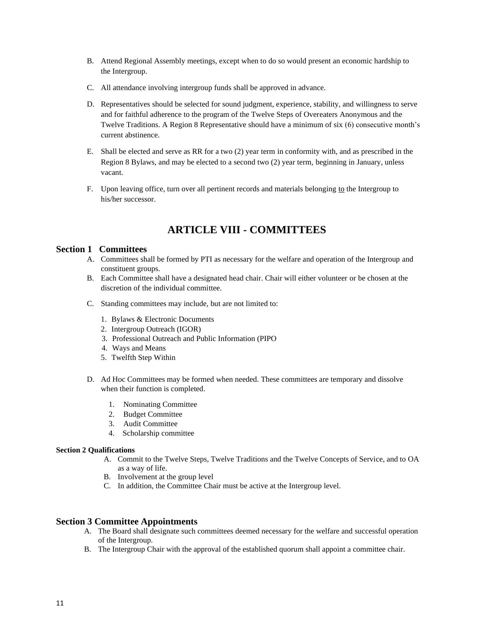- B. Attend Regional Assembly meetings, except when to do so would present an economic hardship to the Intergroup.
- C. All attendance involving intergroup funds shall be approved in advance.
- D. Representatives should be selected for sound judgment, experience, stability, and willingness to serve and for faithful adherence to the program of the Twelve Steps of Overeaters Anonymous and the Twelve Traditions. A Region 8 Representative should have a minimum of six (6) consecutive month's current abstinence.
- E. Shall be elected and serve as RR for a two (2) year term in conformity with, and as prescribed in the Region 8 Bylaws, and may be elected to a second two (2) year term, beginning in January, unless vacant.
- F. Upon leaving office, turn over all pertinent records and materials belonging to the Intergroup to his/her successor.

# **ARTICLE VIII - COMMITTEES**

#### <span id="page-10-1"></span><span id="page-10-0"></span>**Section 1 Committees**

- A. Committees shall be formed by PTI as necessary for the welfare and operation of the Intergroup and constituent groups.
- B. Each Committee shall have a designated head chair. Chair will either volunteer or be chosen at the discretion of the individual committee.
- C. Standing committees may include, but are not limited to:
	- 1. Bylaws & Electronic Documents
	- 2. Intergroup Outreach (IGOR)
	- 3. Professional Outreach and Public Information (PIPO
	- 4. Ways and Means
	- 5. Twelfth Step Within
- D. Ad Hoc Committees may be formed when needed. These committees are temporary and dissolve when their function is completed.
	- 1. Nominating Committee
	- 2. Budget Committee
	- 3. Audit Committee
	- 4. Scholarship committee

#### <span id="page-10-2"></span>**Section 2 Qualifications**

- A. Commit to the Twelve Steps, Twelve Traditions and the Twelve Concepts of Service, and to OA as a way of life.
- B. Involvement at the group level
- C. In addition, the Committee Chair must be active at the Intergroup level.

#### <span id="page-10-3"></span>**Section 3 Committee Appointments**

- A. The Board shall designate such committees deemed necessary for the welfare and successful operation of the Intergroup.
- B. The Intergroup Chair with the approval of the established quorum shall appoint a committee chair.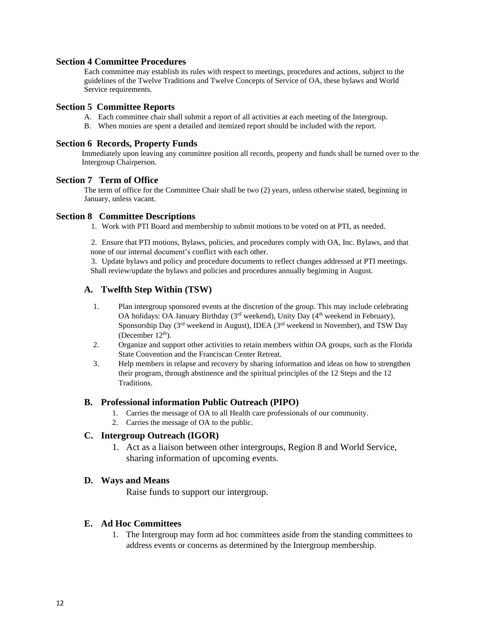#### <span id="page-11-0"></span>**Section 4 Committee Procedures**

Each committee may establish its rules with respect to meetings, procedures and actions, subject to the guidelines of the Twelve Traditions and Twelve Concepts of Service of OA, these bylaws and World Service requirements.

## <span id="page-11-1"></span>**Section 5 Committee Reports**

- A. Each committee chair shall submit a report of all activities at each meeting of the Intergroup.
- B. When monies are spent a detailed and itemized report should be included with the report.

## <span id="page-11-2"></span>**Section 6 Records, Property Funds**

Immediately upon leaving any committee position all records, property and funds shall be turned over to the Intergroup Chairperson.

#### <span id="page-11-3"></span>**Section 7 Term of Office**

The term of office for the Committee Chair shall be two (2) years, unless otherwise stated, beginning in January, unless vacant.

## <span id="page-11-4"></span>**Section 8 Committee Descriptions**

1. Work with PTI Board and membership to submit motions to be voted on at PTI, as needed.

2. Ensure that PTI motions, Bylaws, policies, and procedures comply with OA, Inc. Bylaws, and that none of our internal document's conflict with each other.

3. Update bylaws and policy and procedure documents to reflect changes addressed at PTI meetings. Shall review/update the bylaws and policies and procedures annually beginning in August.

# **A. Twelfth Step Within (TSW)**

- 1. Plan intergroup sponsored events at the discretion of the group. This may include celebrating OA holidays: OA January Birthday (3<sup>rd</sup> weekend), Unity Day (4<sup>th</sup> weekend in February), Sponsorship Day (3rd weekend in August), IDEA (3rd weekend in November), and TSW Day (December  $12<sup>th</sup>$ ).
- 2. Organize and support other activities to retain members within OA groups, such as the Florida State Convention and the Franciscan Center Retreat.
- 3. Help members in relapse and recovery by sharing information and ideas on how to strengthen their program, through abstinence and the spiritual principles of the 12 Steps and the 12 Traditions.

# **B. Professional information Public Outreach (PIPO)**

- 1. Carries the message of OA to all Health care professionals of our community.
- 2. Carries the message of OA to the public.

# **C. Intergroup Outreach (IGOR)**

1. Act as a liaison between other intergroups, Region 8 and World Service, sharing information of upcoming events.

#### **D. Ways and Means**

Raise funds to support our intergroup.

# **E. Ad Hoc Committees**

1. The Intergroup may form ad hoc committees aside from the standing committees to address events or concerns as determined by the Intergroup membership.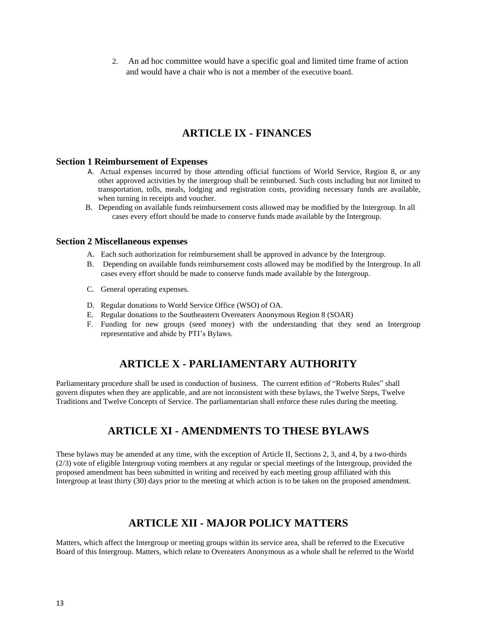2. An ad hoc committee would have a specific goal and limited time frame of action and would have a chair who is not a member of the executive board.

# **ARTICLE IX - FINANCES**

#### <span id="page-12-0"></span>**Section 1 Reimbursement of Expenses**

- A. Actual expenses incurred by those attending official functions of World Service, Region 8, or any other approved activities by the intergroup shall be reimbursed. Such costs including but not limited to transportation, tolls, meals, lodging and registration costs, providing necessary funds are available, when turning in receipts and voucher.
- B. Depending on available funds reimbursement costs allowed may be modified by the Intergroup. In all cases every effort should be made to conserve funds made available by the Intergroup.

#### **Section 2 Miscellaneous expenses**

- A. Each such authorization for reimbursement shall be approved in advance by the Intergroup.
- B. Depending on available funds reimbursement costs allowed may be modified by the Intergroup. In all cases every effort should be made to conserve funds made available by the Intergroup.
- C. General operating expenses.
- D. Regular donations to World Service Office (WSO) of OA.
- E. Regular donations to the Southeastern Overeaters Anonymous Region 8 (SOAR)
- F. Funding for new groups (seed money) with the understanding that they send an Intergroup representative and abide by PTI's Bylaws.

# **ARTICLE X - PARLIAMENTARY AUTHORITY**

<span id="page-12-2"></span><span id="page-12-1"></span>Parliamentary procedure shall be used in conduction of business. The current edition of "Roberts Rules" shall govern disputes when they are applicable, and are not inconsistent with these bylaws, the Twelve Steps, Twelve Traditions and Twelve Concepts of Service. The parliamentarian shall enforce these rules during the meeting.

# **ARTICLE XI - AMENDMENTS TO THESE BYLAWS**

These bylaws may be amended at any time, with the exception of Article II, Sections 2, 3, and 4, by a two-thirds (2/3) vote of eligible Intergroup voting members at any regular or special meetings of the Intergroup, provided the proposed amendment has been submitted in writing and received by each meeting group affiliated with this Intergroup at least thirty (30) days prior to the meeting at which action is to be taken on the proposed amendment.

# **ARTICLE XII - MAJOR POLICY MATTERS**

<span id="page-12-3"></span>Matters, which affect the Intergroup or meeting groups within its service area, shall be referred to the Executive Board of this Intergroup. Matters, which relate to Overeaters Anonymous as a whole shall be referred to the World